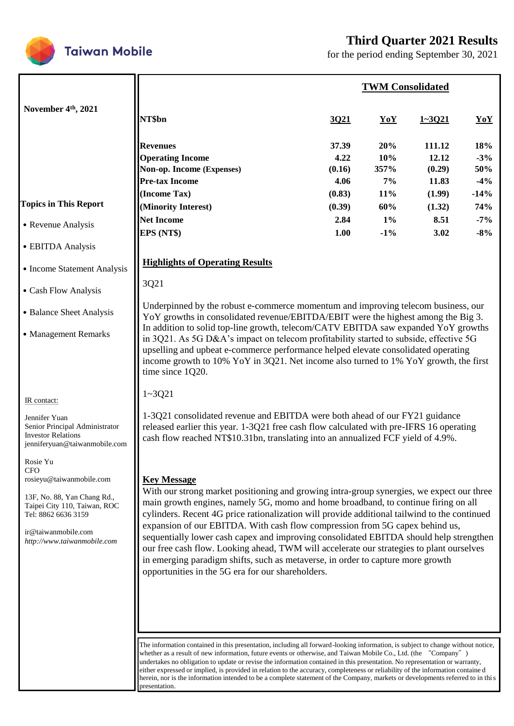

**Taiwan Mobile** 

# **Third Quarter 2021 Results**

for the period ending September 30, 2021

|                                                                                                                                                                                                                                                                                                                         |                                                                                                                                                                                                                                                                                                                                                                                                                                                                                                                                                                                                                                                                                                                                                                                                                                                                                                                                                                                                                                                     |      | <b>TWM Consolidated</b> |            |     |  |
|-------------------------------------------------------------------------------------------------------------------------------------------------------------------------------------------------------------------------------------------------------------------------------------------------------------------------|-----------------------------------------------------------------------------------------------------------------------------------------------------------------------------------------------------------------------------------------------------------------------------------------------------------------------------------------------------------------------------------------------------------------------------------------------------------------------------------------------------------------------------------------------------------------------------------------------------------------------------------------------------------------------------------------------------------------------------------------------------------------------------------------------------------------------------------------------------------------------------------------------------------------------------------------------------------------------------------------------------------------------------------------------------|------|-------------------------|------------|-----|--|
| November 4 <sup>th</sup> , 2021                                                                                                                                                                                                                                                                                         | NT\$bn                                                                                                                                                                                                                                                                                                                                                                                                                                                                                                                                                                                                                                                                                                                                                                                                                                                                                                                                                                                                                                              | 3Q21 | YoY                     | $1 - 3021$ | YoY |  |
| <b>Topics in This Report</b><br>• Revenue Analysis<br>• EBITDA Analysis<br>• Income Statement Analysis<br>• Cash Flow Analysis<br>• Balance Sheet Analysis<br>• Management Remarks                                                                                                                                      | 18%<br>37.39<br>20%<br>111.12<br><b>Revenues</b><br><b>Operating Income</b><br>4.22<br>10%<br>$-3%$<br>12.12<br>Non-op. Income (Expenses)<br>(0.16)<br>357%<br>50%<br>(0.29)<br><b>Pre-tax Income</b><br>4.06<br>7%<br>11.83<br>$-4%$<br>(Income Tax)<br>$-14%$<br>(0.83)<br>11%<br>(1.99)<br>74%<br>(Minority Interest)<br>60%<br>(0.39)<br>(1.32)<br><b>Net Income</b><br>2.84<br>$1\%$<br>8.51<br>$-7%$<br>EPS (NT\$)<br>1.00<br>$-1\%$<br>3.02<br>$-8%$<br><b>Highlights of Operating Results</b><br>3Q21<br>Underpinned by the robust e-commerce momentum and improving telecom business, our<br>YoY growths in consolidated revenue/EBITDA/EBIT were the highest among the Big 3.<br>In addition to solid top-line growth, telecom/CATV EBITDA saw expanded YoY growths<br>in 3Q21. As 5G D&A's impact on telecom profitability started to subside, effective 5G<br>upselling and upbeat e-commerce performance helped elevate consolidated operating<br>income growth to 10% YoY in 3Q21. Net income also turned to 1% YoY growth, the first |      |                         |            |     |  |
| IR contact:<br>Jennifer Yuan<br>Senior Principal Administrator<br><b>Investor Relations</b><br>jenniferyuan@taiwanmobile.com<br>Rosie Yu<br>CFO<br>rosieyu@taiwanmobile.com<br>13F, No. 88, Yan Chang Rd.,<br>Taipei City 110, Taiwan, ROC<br>Tel: 8862 6636 3159<br>ir@taiwanmobile.com<br>http://www.taiwanmobile.com | time since 1Q20.<br>$1 - 3Q21$<br>1-3Q21 consolidated revenue and EBITDA were both ahead of our FY21 guidance<br>released earlier this year. 1-3Q21 free cash flow calculated with pre-IFRS 16 operating<br>cash flow reached NT\$10.31bn, translating into an annualized FCF yield of 4.9%.<br><b>Key Message</b><br>With our strong market positioning and growing intra-group synergies, we expect our three<br>main growth engines, namely 5G, momo and home broadband, to continue firing on all<br>cylinders. Recent 4G price rationalization will provide additional tailwind to the continued<br>expansion of our EBITDA. With cash flow compression from 5G capex behind us,<br>sequentially lower cash capex and improving consolidated EBITDA should help strengthen<br>our free cash flow. Looking ahead, TWM will accelerate our strategies to plant ourselves<br>in emerging paradigm shifts, such as metaverse, in order to capture more growth<br>opportunities in the 5G era for our shareholders.                                 |      |                         |            |     |  |
|                                                                                                                                                                                                                                                                                                                         | The information contained in this presentation, including all forward-looking information, is subject to change without notice,<br>whether as a result of new information, future events or otherwise, and Taiwan Mobile Co., Ltd. (the "Company")<br>undertakes no obligation to undate or revise the information contained in this presentation. No representation or warranty,                                                                                                                                                                                                                                                                                                                                                                                                                                                                                                                                                                                                                                                                   |      |                         |            |     |  |

undertakes no obligation to update or revise the information contained in this presentation. No representation or warranty, either expressed or implied, is provided in relation to the accuracy, completeness or reliability of the information containe d herein, nor is the information intended to be a complete statement of the Company, markets or developments referred to in this presentation.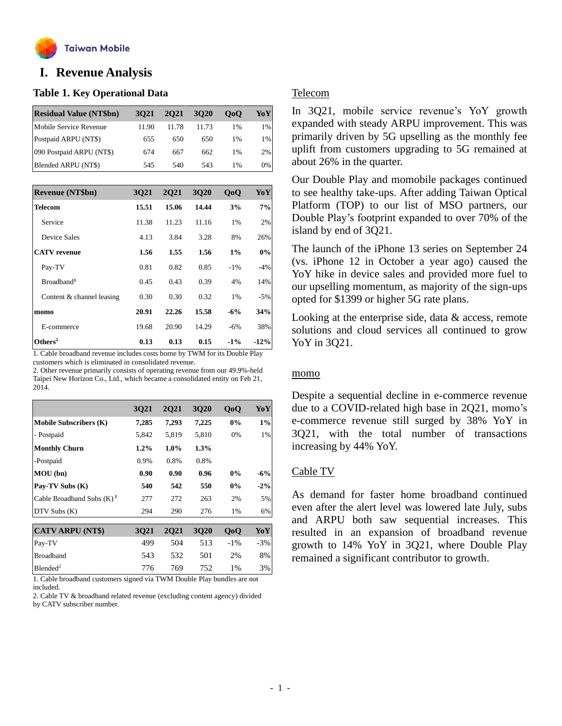

# **o I. Revenue Analysis**

### **Table 1. Key Operational Data**

| <b>Residual Value (NT\$bn)</b> | 3021  | 2021  | 3020  | 0 <sub>0</sub> | YoY   |
|--------------------------------|-------|-------|-------|----------------|-------|
| Mobile Service Revenue         | 11.90 | 11.78 | 11.73 | 1%             | 1%    |
| Postpaid ARPU (NT\$)           | 655   | 650   | 650   | $1\%$          | $1\%$ |
| 090 Postpaid ARPU (NT\$)       | 674   | 667   | 662   | 1%             | 2%    |
| Blended ARPU (NT\$)            | 545   | 540   | 543   | 1%             | $0\%$ |

| <b>Revenue (NT\$bn)</b>   | 3021  | 2021  | 3020  | 0 <sub>0</sub> | YoY    |
|---------------------------|-------|-------|-------|----------------|--------|
| <b>Telecom</b>            | 15.51 | 15.06 | 14.44 | 3%             | 7%     |
| Service                   | 11.38 | 11.23 | 11.16 | 1%             | 2%     |
| <b>Device Sales</b>       | 4.13  | 3.84  | 3.28  | 8%             | 26%    |
| <b>CATV</b> revenue       | 1.56  | 1.55  | 1.56  | 1%             | $0\%$  |
| Pay-TV                    | 0.81  | 0.82  | 0.85  | $-1\%$         | $-4%$  |
| Broadband <sup>1</sup>    | 0.45  | 0.43  | 0.39  | 4%             | 14%    |
| Content & channel leasing | 0.30  | 0.30  | 0.32  | 1%             | $-5%$  |
| momo                      | 20.91 | 22.26 | 15.58 | $-6%$          | 34%    |
| E-commerce                | 19.68 | 20.90 | 14.29 | $-6%$          | 38%    |
| Others <sup>2</sup>       | 0.13  | 0.13  | 0.15  | $-1\%$         | $-12%$ |

1. Cable broadband revenue includes costs borne by TWM for its Double Play customers which is eliminated in consolidated revenue.

2. Other revenue primarily consists of operating revenue from our 49.9%-held Taipei New Horizon Co., Ltd., which became a consolidated entity on Feb 21, 2014.

|                               | <b>3Q21</b> | <b>2Q21</b> | <b>3Q20</b> | QoQ    | YoY    |
|-------------------------------|-------------|-------------|-------------|--------|--------|
| <b>Mobile Subscribers (K)</b> | 7,285       | 7,293       | 7,225       | 0%     | 1%     |
| - Postpaid                    | 5,842       | 5,819       | 5,810       | 0%     | 1%     |
| <b>Monthly Churn</b>          | $1.2\%$     | $1.0\%$     | 1.3%        |        |        |
| -Postpaid                     | 0.9%        | 0.8%        | 0.8%        |        |        |
| MOU (bn)                      | 0.90        | 0.90        | 0.96        | 0%     | $-6%$  |
| Pay-TV Subs (K)               | 540         | 542         | 550         | $0\%$  | $-2\%$ |
| Cable Broadband Subs $(K)^1$  | 277         | 272         | 263         | 2%     | 5%     |
| $DTV$ Subs $(K)$              | 294         | 290         | 276         | 1%     | 6%     |
|                               |             |             |             |        |        |
| <b>CATV ARPU (NT\$)</b>       | 3021        | <b>2Q21</b> | <b>3Q20</b> | QoQ    | YoY    |
| Pay-TV                        | 499         | 504         | 513         | $-1\%$ | $-3%$  |
| <b>Broadband</b>              | 543         | 532         | 501         | 2%     | 8%     |
| Blended <sup>2</sup>          | 776         | 769         | 752         | $1\%$  | 3%     |

1. Cable broadband customers signed via TWM Double Play bundles are not included.

2. Cable TV & broadband related revenue (excluding content agency) divided by CATV subscriber number.

### Telecom

In 3Q21, mobile service revenue's YoY growth expanded with steady ARPU improvement. This was primarily driven by 5G upselling as the monthly fee uplift from customers upgrading to 5G remained at about 26% in the quarter.

Our Double Play and momobile packages continued to see healthy take-ups. After adding Taiwan Optical Platform (TOP) to our list of MSO partners, our Double Play's footprint expanded to over 70% of the island by end of 3Q21.

The launch of the iPhone 13 series on September 24 (vs. iPhone 12 in October a year ago) caused the YoY hike in device sales and provided more fuel to our upselling momentum, as majority of the sign-ups opted for \$1399 or higher 5G rate plans.

Looking at the enterprise side, data & access, remote solutions and cloud services all continued to grow YoY in 3Q21.

#### momo

Despite a sequential decline in e-commerce revenue due to a COVID-related high base in 2Q21, momo's e-commerce revenue still surged by 38% YoY in 3Q21, with the total number of transactions increasing by 44% YoY.

### Cable TV

As demand for faster home broadband continued even after the alert level was lowered late July, subs and ARPU both saw sequential increases. This resulted in an expansion of broadband revenue growth to 14% YoY in 3Q21, where Double Play remained a significant contributor to growth.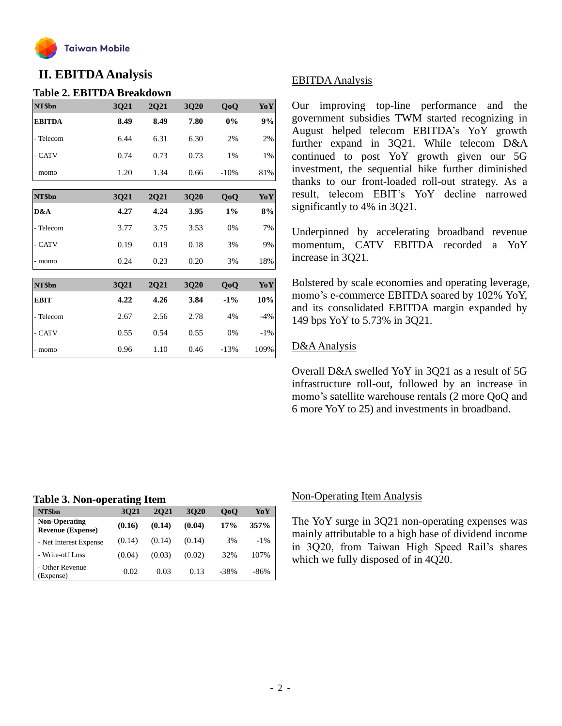

# **II. EBITDAAnalysis**

### **Table 2. EBITDA Breakdown**

| NT\$bn        | 3Q21 | 2Q21 | 3Q20 | QoQ    | YoY    |
|---------------|------|------|------|--------|--------|
| <b>EBITDA</b> | 8.49 | 8.49 | 7.80 | $0\%$  | 9%     |
| - Telecom     | 6.44 | 6.31 | 6.30 | 2%     | 2%     |
| - CATV        | 0.74 | 0.73 | 0.73 | 1%     | 1%     |
| - momo        | 1.20 | 1.34 | 0.66 | $-10%$ | 81%    |
| NT\$bn        | 3Q21 | 2Q21 | 3Q20 | QoQ    | YoY    |
| D&A           | 4.27 | 4.24 | 3.95 | $1\%$  | 8%     |
| - Telecom     | 3.77 | 3.75 | 3.53 | 0%     | 7%     |
| - CATV        | 0.19 | 0.19 | 0.18 | 3%     | 9%     |
| - momo        | 0.24 | 0.23 | 0.20 | 3%     | 18%    |
|               |      |      |      |        |        |
| NT\$bn        | 3Q21 | 2Q21 | 3Q20 | QoQ    | YoY    |
| <b>EBIT</b>   | 4.22 | 4.26 | 3.84 | $-1\%$ | 10%    |
| - Telecom     | 2.67 | 2.56 | 2.78 | 4%     | $-4%$  |
| - CATV        | 0.55 | 0.54 | 0.55 | 0%     | $-1\%$ |
| - momo        | 0.96 | 1.10 | 0.46 | $-13%$ | 109%   |

# EBITDAAnalysis

Our improving top-line performance and the government subsidies TWM started recognizing in August helped telecom EBITDA's YoY growth further expand in 3Q21. While telecom D&A continued to post YoY growth given our 5G investment, the sequential hike further diminished thanks to our front-loaded roll-out strategy. As a result, telecom EBIT's YoY decline narrowed significantly to 4% in 3Q21.

Underpinned by accelerating broadband revenue momentum, CATV EBITDA recorded a YoY increase in 3Q21.

Bolstered by scale economies and operating leverage, momo's e-commerce EBITDA soared by 102% YoY, and its consolidated EBITDA margin expanded by 149 bps YoY to 5.73% in 3Q21.

### D&A Analysis

Overall D&A swelled YoY in 3Q21 as a result of 5G infrastructure roll-out, followed by an increase in momo's satellite warehouse rentals (2 more QoQ and 6 more YoY to 25) and investments in broadband.

### **Table 3. Non-operating Item**

| NT\$bn                                           | 3021   | 2021   | 3020   | 0 <sub>0</sub> | YoY    |
|--------------------------------------------------|--------|--------|--------|----------------|--------|
| <b>Non-Operating</b><br><b>Revenue (Expense)</b> | (0.16) | (0.14) | (0.04) | 17%            | 357%   |
| - Net Interest Expense                           | (0.14) | (0.14) | (0.14) | 3%             | $-1\%$ |
| - Write-off Loss                                 | (0.04) | (0.03) | (0.02) | 32%            | 107%   |
| - Other Revenue<br>(Expense)                     | 0.02   | 0.03   | 0.13   | -38%           | $-86%$ |

#### Non-Operating Item Analysis

The YoY surge in 3Q21 non-operating expenses was mainly attributable to a high base of dividend income in 3Q20, from Taiwan High Speed Rail's shares which we fully disposed of in 4Q20.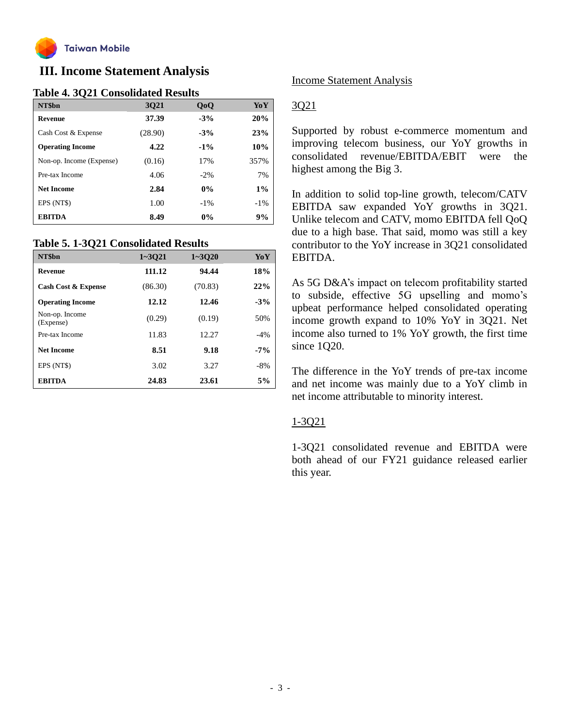

# **III. Income Statement Analysis**

# **Table 4. 3Q21 Consolidated Results**

| NT\$bn                   | <b>3Q21</b> | QoQ    | YoY    |
|--------------------------|-------------|--------|--------|
| <b>Revenue</b>           | 37.39       | $-3%$  | 20%    |
| Cash Cost & Expense      | (28.90)     | $-3%$  | 23%    |
| <b>Operating Income</b>  | 4.22        | $-1\%$ | 10%    |
| Non-op. Income (Expense) | (0.16)      | 17%    | 357%   |
| Pre-tax Income           | 4.06        | $-2\%$ | 7%     |
| <b>Net Income</b>        | 2.84        | $0\%$  | $1\%$  |
| EPS (NT\$)               | 1.00        | $-1\%$ | $-1\%$ |
| <b>EBITDA</b>            | 8.49        | $0\%$  | 9%     |

### **Table 5. 1-3Q21 Consolidated Results**

| NT\$bn                         | $1 - 3021$ | $1 - 3020$ | YoY    |
|--------------------------------|------------|------------|--------|
| Revenue                        | 111.12     | 94.44      | 18%    |
| <b>Cash Cost &amp; Expense</b> | (86.30)    | (70.83)    | 22%    |
| <b>Operating Income</b>        | 12.12      | 12.46      | $-3%$  |
| Non-op. Income<br>(Expense)    | (0.29)     | (0.19)     | 50%    |
| Pre-tax Income                 | 11.83      | 12.27      | $-4\%$ |
| <b>Net Income</b>              | 8.51       | 9.18       | $-7\%$ |
| EPS (NT\$)                     | 3.02       | 3.27       | $-8%$  |
| <b>EBITDA</b>                  | 24.83      | 23.61      | 5%     |

### Income Statement Analysis

# 3Q21

Supported by robust e-commerce momentum and improving telecom business, our YoY growths in consolidated revenue/EBITDA/EBIT were the highest among the Big 3.

In addition to solid top-line growth, telecom/CATV EBITDA saw expanded YoY growths in 3Q21. Unlike telecom and CATV, momo EBITDA fell QoQ due to a high base. That said, momo was still a key contributor to the YoY increase in 3Q21 consolidated EBITDA.

As 5G D&A's impact on telecom profitability started to subside, effective 5G upselling and momo's upbeat performance helped consolidated operating income growth expand to 10% YoY in 3Q21. Net income also turned to 1% YoY growth, the first time since 1Q20.

The difference in the YoY trends of pre-tax income and net income was mainly due to a YoY climb in net income attributable to minority interest.

### 1-3Q21

1-3Q21 consolidated revenue and EBITDA were both ahead of our FY21 guidance released earlier this year.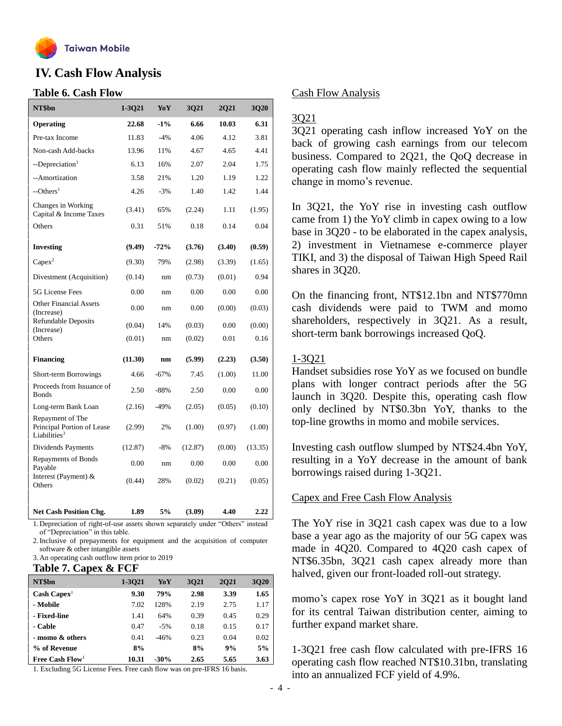

# **IV. Cash Flow Analysis**

### **Table 6. Cash Flow**

| NT\$bn                                                                     | $1 - 3Q21$ | YoY    | 3Q21    | 2Q21   | 3Q20    |
|----------------------------------------------------------------------------|------------|--------|---------|--------|---------|
| Operating                                                                  | 22.68      | $-1\%$ | 6.66    | 10.03  | 6.31    |
| Pre-tax Income                                                             | 11.83      | $-4%$  | 4.06    | 4.12   | 3.81    |
| Non-cash Add-backs                                                         | 13.96      | 11%    | 4.67    | 4.65   | 4.41    |
| --Depreciation <sup>1</sup>                                                | 6.13       | 16%    | 2.07    | 2.04   | 1.75    |
| --Amortization                                                             | 3.58       | 21%    | 1.20    | 1.19   | 1.22    |
| $-$ Others <sup>1</sup>                                                    | 4.26       | $-3%$  | 1.40    | 1.42   | 1.44    |
| Changes in Working<br>Capital & Income Taxes                               | (3.41)     | 65%    | (2.24)  | 1.11   | (1.95)  |
| Others                                                                     | 0.31       | 51%    | 0.18    | 0.14   | 0.04    |
| <b>Investing</b>                                                           | (9.49)     | $-72%$ | (3.76)  | (3.40) | (0.59)  |
| $Capex^2$                                                                  | (9.30)     | 79%    | (2.98)  | (3.39) | (1.65)  |
| Divestment (Acquisition)                                                   | (0.14)     | nm     | (0.73)  | (0.01) | 0.94    |
| 5G License Fees                                                            | 0.00       | nm     | 0.00    | 0.00   | 0.00    |
| <b>Other Financial Assets</b><br>(Increase)                                | 0.00       | nm     | 0.00    | (0.00) | (0.03)  |
| <b>Refundable Deposits</b><br>(Increase)                                   | (0.04)     | 14%    | (0.03)  | 0.00   | (0.00)  |
| Others                                                                     | (0.01)     | nm     | (0.02)  | 0.01   | 0.16    |
| <b>Financing</b>                                                           | (11.30)    | nm     | (5.99)  | (2.23) | (3.50)  |
| Short-term Borrowings                                                      | 4.66       | $-67%$ | 7.45    | (1.00) | 11.00   |
| Proceeds from Issuance of<br><b>Bonds</b>                                  | 2.50       | $-88%$ | 2.50    | 0.00   | 0.00    |
| Long-term Bank Loan                                                        | (2.16)     | $-49%$ | (2.05)  | (0.05) | (0.10)  |
| Repayment of The<br>Principal Portion of Lease<br>Liabilities <sup>3</sup> | (2.99)     | 2%     | (1.00)  | (0.97) | (1.00)  |
| Dividends Payments                                                         | (12.87)    | $-8%$  | (12.87) | (0.00) | (13.35) |
| <b>Repayments of Bonds</b><br>Payable                                      | 0.00       | nm     | 0.00    | 0.00   | 0.00    |
| Interest (Payment) $\&$<br>Others                                          | (0.44)     | 28%    | (0.02)  | (0.21) | (0.05)  |
| <b>Net Cash Position Chg.</b>                                              | 1.89       | 5%     | (3.09)  | 4.40   | 2.22    |

1.Depreciation of right-of-use assets shown separately under "Others" instead of "Depreciation" in this table.

2.Inclusive of prepayments for equipment and the acquisition of computer software & other intangible assets

3.An operating cash outflow item prior to 2019

#### **Table 7. Capex & FCF**

| NT\$bn                        | 1-3021 | YoY    | 3021 | 2021 | 3020 |
|-------------------------------|--------|--------|------|------|------|
| $\text{Cash} \text{ Capex}^1$ | 9.30   | 79%    | 2.98 | 3.39 | 1.65 |
| - Mobile                      | 7.02   | 128%   | 2.19 | 2.75 | 1.17 |
| - Fixed-line                  | 1.41   | 64%    | 0.39 | 0.45 | 0.29 |
| - Cable                       | 0.47   | $-5%$  | 0.18 | 0.15 | 0.17 |
| - momo & others               | 0.41   | $-46%$ | 0.23 | 0.04 | 0.02 |
| % of Revenue                  | 8%     |        | 8%   | 9%   | 5%   |
| Free Cash $Flow1$             | 10.31  | $-30%$ | 2.65 | 5.65 | 3.63 |

1. Excluding 5G License Fees. Free cash flow was on pre-IFRS 16 basis.

### Cash Flow Analysis

## 3Q21

3Q21 operating cash inflow increased YoY on the back of growing cash earnings from our telecom business. Compared to 2Q21, the QoQ decrease in operating cash flow mainly reflected the sequential change in momo's revenue.

In 3Q21, the YoY rise in investing cash outflow came from 1) the YoY climb in capex owing to a low base in 3Q20 - to be elaborated in the capex analysis, 2) investment in Vietnamese e-commerce player TIKI, and 3) the disposal of Taiwan High Speed Rail shares in 3Q20.

On the financing front, NT\$12.1bn and NT\$770mn cash dividends were paid to TWM and momo shareholders, respectively in 3Q21. As a result, short-term bank borrowings increased QoQ.

### 1-3Q21

Handset subsidies rose YoY as we focused on bundle plans with longer contract periods after the 5G launch in 3Q20. Despite this, operating cash flow only declined by NT\$0.3bn YoY, thanks to the top-line growths in momo and mobile services.

Investing cash outflow slumped by NT\$24.4bn YoY, resulting in a YoY decrease in the amount of bank borrowings raised during 1-3Q21.

# Capex and Free Cash Flow Analysis

The YoY rise in 3Q21 cash capex was due to a low base a year ago as the majority of our 5G capex was made in 4Q20. Compared to 4Q20 cash capex of NT\$6.35bn, 3Q21 cash capex already more than halved, given our front-loaded roll-out strategy.

momo's capex rose YoY in 3Q21 as it bought land for its central Taiwan distribution center, aiming to further expand market share.

1-3Q21 free cash flow calculated with pre-IFRS 16 operating cash flow reached NT\$10.31bn, translating into an annualized FCF yield of 4.9%.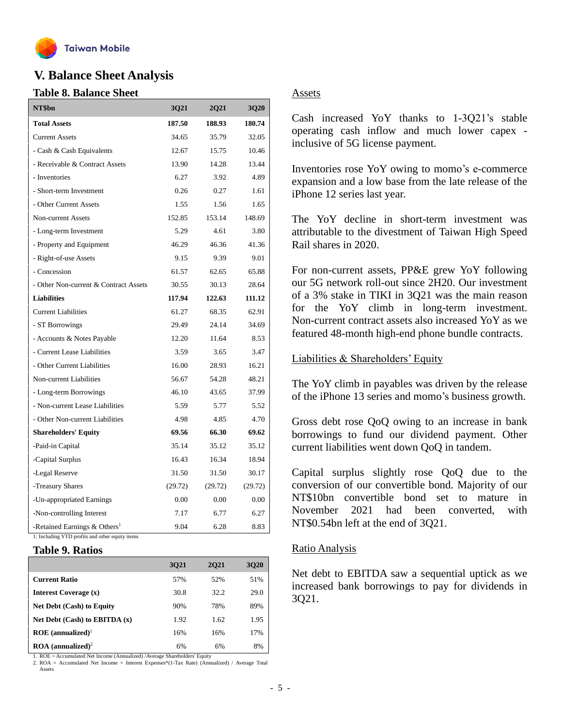

# **V. Balance Sheet Analysis**

### **Table 8. Balance Sheet**

| NT\$bn                                     | 3Q21    | 2Q21    | 3Q20    |
|--------------------------------------------|---------|---------|---------|
| <b>Total Assets</b>                        | 187.50  | 188.93  | 180.74  |
| <b>Current Assets</b>                      | 34.65   | 35.79   | 32.05   |
| - Cash & Cash Equivalents                  | 12.67   | 15.75   | 10.46   |
| - Receivable & Contract Assets             | 13.90   | 14.28   | 13.44   |
| - Inventories                              | 6.27    | 3.92    | 4.89    |
| - Short-term Investment                    | 0.26    | 0.27    | 1.61    |
| - Other Current Assets                     | 1.55    | 1.56    | 1.65    |
| <b>Non-current Assets</b>                  | 152.85  | 153.14  | 148.69  |
| - Long-term Investment                     | 5.29    | 4.61    | 3.80    |
| - Property and Equipment                   | 46.29   | 46.36   | 41.36   |
| - Right-of-use Assets                      | 9.15    | 9.39    | 9.01    |
| - Concession                               | 61.57   | 62.65   | 65.88   |
| - Other Non-current & Contract Assets      | 30.55   | 30.13   | 28.64   |
| <b>Liabilities</b>                         | 117.94  | 122.63  | 111.12  |
| <b>Current Liabilities</b>                 | 61.27   | 68.35   | 62.91   |
| - ST Borrowings                            | 29.49   | 24.14   | 34.69   |
| - Accounts & Notes Payable                 | 12.20   | 11.64   | 8.53    |
| - Current Lease Liabilities                | 3.59    | 3.65    | 3.47    |
| - Other Current Liabilities                | 16.00   | 28.93   | 16.21   |
| Non-current Liabilities                    | 56.67   | 54.28   | 48.21   |
| - Long-term Borrowings                     | 46.10   | 43.65   | 37.99   |
| - Non-current Lease Liabilities            | 5.59    | 5.77    | 5.52    |
| - Other Non-current Liabilities            | 4.98    | 4.85    | 4.70    |
| <b>Shareholders' Equity</b>                | 69.56   | 66.30   | 69.62   |
| -Paid-in Capital                           | 35.14   | 35.12   | 35.12   |
| -Capital Surplus                           | 16.43   | 16.34   | 18.94   |
| -Legal Reserve                             | 31.50   | 31.50   | 30.17   |
| -Treasury Shares                           | (29.72) | (29.72) | (29.72) |
| -Un-appropriated Earnings                  | 0.00    | 0.00    | 0.00    |
| -Non-controlling Interest                  | 7.17    | 6.77    | 6.27    |
| -Retained Earnings $&$ Others <sup>1</sup> | 9.04    | 6.28    | 8.83    |

1: Including YTD profits and other equity items

#### **Table 9. Ratios**

|                                          | 3021 | 2021 | 3020 |
|------------------------------------------|------|------|------|
| <b>Current Ratio</b>                     | 57%  | 52%  | 51%  |
| Interest Coverage (x)                    | 30.8 | 32.2 | 29.0 |
| <b>Net Debt (Cash) to Equity</b>         | 90%  | 78%  | 89%  |
| Net Debt $(Cash)$ to EBITDA $(x)$        | 1.92 | 1.62 | 1.95 |
| $ROE$ (annualized) <sup>1</sup>          | 16%  | 16%  | 17%  |
| $\textbf{ROA}$ (annualized) <sup>2</sup> | 6%   | 6%   | 8%   |

1. ROE = Accumulated Net Income (Annualized) /Average Shareholders' Equity

2. ROA = Accumulated Net Income + Interest Expenses\*(1-Tax Rate) (Annualized) / Average Total Assets

### **Assets**

Cash increased YoY thanks to 1-3Q21's stable operating cash inflow and much lower capex inclusive of 5G license payment.

Inventories rose YoY owing to momo's e-commerce expansion and a low base from the late release of the iPhone 12 series last year.

The YoY decline in short-term investment was attributable to the divestment of Taiwan High Speed Rail shares in 2020.

For non-current assets, PP&E grew YoY following our 5G network roll-out since 2H20. Our investment of a 3% stake in TIKI in 3Q21 was the main reason for the YoY climb in long-term investment. Non-current contract assets also increased YoY as we featured 48-month high-end phone bundle contracts.

### Liabilities & Shareholders' Equity

The YoY climb in payables was driven by the release of the iPhone 13 series and momo's business growth.

Gross debt rose QoQ owing to an increase in bank borrowings to fund our dividend payment. Other current liabilities went down QoQ in tandem.

Capital surplus slightly rose QoQ due to the conversion of our convertible bond. Majority of our NT\$10bn convertible bond set to mature in November 2021 had been converted, with NT\$0.54bn left at the end of 3Q21.

#### Ratio Analysis

Net debt to EBITDA saw a sequential uptick as we increased bank borrowings to pay for dividends in 3Q21.